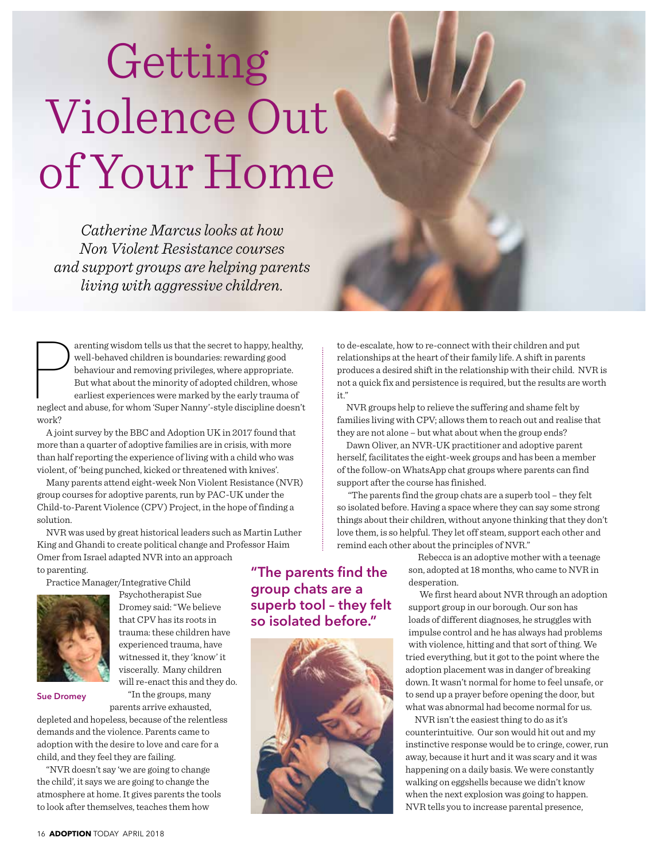# Getting Violence Out of Your Home

*Catherine Marcus looks at how Non Violent Resistance courses and support groups are helping parents living with aggressive children.*

arenting wisdom tells us that the secret to happy, healthy, well-behaved children is boundaries: rewarding good behaviour and removing privileges, where appropriate. But what about the minority of adopted children, whose e arenting wisdom tells us that the secret to happy, healthy, well-behaved children is boundaries: rewarding good behaviour and removing privileges, where appropriate. But what about the minority of adopted children, whose earliest experiences were marked by the early trauma of work?

A joint survey by the BBC and Adoption UK in 2017 found that more than a quarter of adoptive families are in crisis, with more than half reporting the experience of living with a child who was violent, of 'being punched, kicked or threatened with knives'.

Many parents attend eight-week Non Violent Resistance (NVR) group courses for adoptive parents, run by PAC-UK under the Child-to-Parent Violence (CPV) Project, in the hope of finding a solution.

NVR was used by great historical leaders such as Martin Luther King and Ghandi to create political change and Professor Haim Omer from Israel adapted NVR into an approach

to parenting.

Practice Manager/Integrative Child



Psychotherapist Sue Dromey said: "We believe that CPV has its roots in trauma: these children have experienced trauma, have witnessed it, they 'know' it viscerally. Many children will re-enact this and they do.

**Sue Dromey**

"In the groups, many parents arrive exhausted,

depleted and hopeless, because of the relentless demands and the violence. Parents came to adoption with the desire to love and care for a child, and they feel they are failing.

"NVR doesn't say 'we are going to change the child', it says we are going to change the atmosphere at home. It gives parents the tools to look after themselves, teaches them how

**"The parents find the group chats are a superb tool – they felt so isolated before."**



to de-escalate, how to re-connect with their children and put relationships at the heart of their family life. A shift in parents produces a desired shift in the relationship with their child. NVR is not a quick fix and persistence is required, but the results are worth it."

NVR groups help to relieve the suffering and shame felt by families living with CPV; allows them to reach out and realise that they are not alone – but what about when the group ends?

Dawn Oliver, an NVR-UK practitioner and adoptive parent herself, facilitates the eight-week groups and has been a member of the follow-on WhatsApp chat groups where parents can find support after the course has finished.

 "The parents find the group chats are a superb tool – they felt so isolated before. Having a space where they can say some strong things about their children, without anyone thinking that they don't love them, is so helpful. They let off steam, support each other and remind each other about the principles of NVR."

> Rebecca is an adoptive mother with a teenage son, adopted at 18 months, who came to NVR in desperation.

 We first heard about NVR through an adoption support group in our borough. Our son has loads of different diagnoses, he struggles with impulse control and he has always had problems with violence, hitting and that sort of thing. We tried everything, but it got to the point where the adoption placement was in danger of breaking down. It wasn't normal for home to feel unsafe, or to send up a prayer before opening the door, but what was abnormal had become normal for us.

NVR isn't the easiest thing to do as it's counterintuitive. Our son would hit out and my instinctive response would be to cringe, cower, run away, because it hurt and it was scary and it was happening on a daily basis. We were constantly walking on eggshells because we didn't know when the next explosion was going to happen. NVR tells you to increase parental presence,